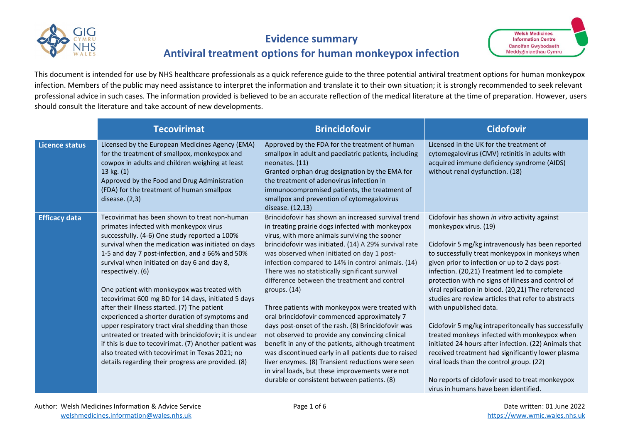

## **Evidence summary**

# **Antiviral treatment options for human monkeypox infection**

This document is intended for use by NHS healthcare professionals as a quick reference guide to the three potential antiviral treatment options for human monkeypox infection. Members of the public may need assistance to interpret the information and translate it to their own situation; it is strongly recommended to seek relevant professional advice in such cases. The information provided is believed to be an accurate reflection of the medical literature at the time of preparation. However, users should consult the literature and take account of new developments.

|                       | <b>Tecovirimat</b>                                                                                                                                                                                                                                                                                                                                                                                                                                                                     | <b>Brincidofovir</b>                                                                                                                                                                                                                                                                                                                                                                                                                             | <b>Cidofovir</b>                                                                                                                                                                                                                                                                                                                                                                                      |
|-----------------------|----------------------------------------------------------------------------------------------------------------------------------------------------------------------------------------------------------------------------------------------------------------------------------------------------------------------------------------------------------------------------------------------------------------------------------------------------------------------------------------|--------------------------------------------------------------------------------------------------------------------------------------------------------------------------------------------------------------------------------------------------------------------------------------------------------------------------------------------------------------------------------------------------------------------------------------------------|-------------------------------------------------------------------------------------------------------------------------------------------------------------------------------------------------------------------------------------------------------------------------------------------------------------------------------------------------------------------------------------------------------|
| <b>Licence status</b> | Licensed by the European Medicines Agency (EMA)<br>for the treatment of smallpox, monkeypox and<br>cowpox in adults and children weighing at least<br>13 kg. (1)<br>Approved by the Food and Drug Administration<br>(FDA) for the treatment of human smallpox<br>disease. $(2,3)$                                                                                                                                                                                                      | Approved by the FDA for the treatment of human<br>smallpox in adult and paediatric patients, including<br>neonates. (11)<br>Granted orphan drug designation by the EMA for<br>the treatment of adenovirus infection in<br>immunocompromised patients, the treatment of<br>smallpox and prevention of cytomegalovirus<br>disease. (12,13)                                                                                                         | Licensed in the UK for the treatment of<br>cytomegalovirus (CMV) retinitis in adults with<br>acquired immune deficiency syndrome (AIDS)<br>without renal dysfunction. (18)                                                                                                                                                                                                                            |
| <b>Efficacy data</b>  | Tecovirimat has been shown to treat non-human<br>primates infected with monkeypox virus<br>successfully. (4-6) One study reported a 100%<br>survival when the medication was initiated on days<br>1-5 and day 7 post-infection, and a 66% and 50%<br>survival when initiated on day 6 and day 8,<br>respectively. (6)                                                                                                                                                                  | Brincidofovir has shown an increased survival trend<br>in treating prairie dogs infected with monkeypox<br>virus, with more animals surviving the sooner<br>brincidofovir was initiated. (14) A 29% survival rate<br>was observed when initiated on day 1 post-<br>infection compared to 14% in control animals. (14)<br>There was no statistically significant survival<br>difference between the treatment and control                         | Cidofovir has shown in vitro activity against<br>monkeypox virus. (19)<br>Cidofovir 5 mg/kg intravenously has been reported<br>to successfully treat monkeypox in monkeys when<br>given prior to infection or up to 2 days post-<br>infection. (20,21) Treatment led to complete<br>protection with no signs of illness and control of                                                                |
|                       | One patient with monkeypox was treated with<br>tecovirimat 600 mg BD for 14 days, initiated 5 days<br>after their illness started. (7) The patient<br>experienced a shorter duration of symptoms and<br>upper respiratory tract viral shedding than those<br>untreated or treated with brincidofovir; it is unclear<br>if this is due to tecovirimat. (7) Another patient was<br>also treated with tecovirimat in Texas 2021; no<br>details regarding their progress are provided. (8) | groups. $(14)$<br>Three patients with monkeypox were treated with<br>oral brincidofovir commenced approximately 7<br>days post-onset of the rash. (8) Brincidofovir was<br>not observed to provide any convincing clinical<br>benefit in any of the patients, although treatment<br>was discontinued early in all patients due to raised<br>liver enzymes. (8) Transient reductions were seen<br>in viral loads, but these improvements were not | viral replication in blood. (20,21) The referenced<br>studies are review articles that refer to abstracts<br>with unpublished data.<br>Cidofovir 5 mg/kg intraperitoneally has successfully<br>treated monkeys infected with monkeypox when<br>initiated 24 hours after infection. (22) Animals that<br>received treatment had significantly lower plasma<br>viral loads than the control group. (22) |
|                       |                                                                                                                                                                                                                                                                                                                                                                                                                                                                                        | durable or consistent between patients. (8)                                                                                                                                                                                                                                                                                                                                                                                                      | No reports of cidofovir used to treat monkeypox<br>virus in humans have been identified.                                                                                                                                                                                                                                                                                                              |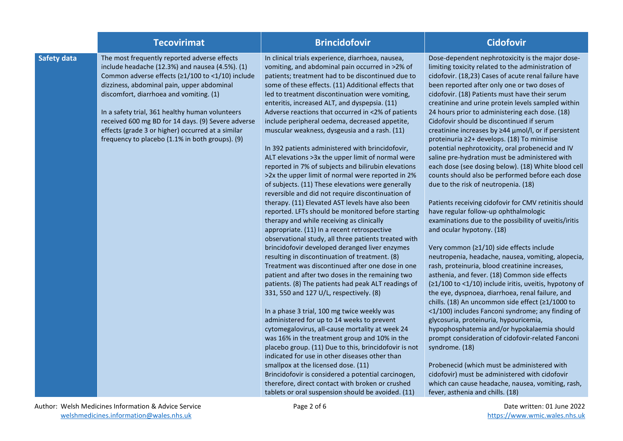|                    | <b>Tecovirimat</b>                                                                                                                                                                                                                                                                                                                                                                                                                                            | <b>Brincidofovir</b>                                                                                                                                                                                                                                                                                                                                                                                                                                                                                                                                                                                                                                                                                                                                                                                                                                                                                                                                                                                                                                                                                                                                                                                                                                                                                                                                                                                                                                                                                                                                                                                                                                                                                                                                                                                                                                                                                          | <b>Cidofovir</b>                                                                                                                                                                                                                                                                                                                                                                                                                                                                                                                                                                                                                                                                                                                                                                                                                                                                                                                                                                                                                                                                                                                                                                                                                                                                                                                                                                                                                                                                                                                                                                                                                                                                                                                                                    |
|--------------------|---------------------------------------------------------------------------------------------------------------------------------------------------------------------------------------------------------------------------------------------------------------------------------------------------------------------------------------------------------------------------------------------------------------------------------------------------------------|---------------------------------------------------------------------------------------------------------------------------------------------------------------------------------------------------------------------------------------------------------------------------------------------------------------------------------------------------------------------------------------------------------------------------------------------------------------------------------------------------------------------------------------------------------------------------------------------------------------------------------------------------------------------------------------------------------------------------------------------------------------------------------------------------------------------------------------------------------------------------------------------------------------------------------------------------------------------------------------------------------------------------------------------------------------------------------------------------------------------------------------------------------------------------------------------------------------------------------------------------------------------------------------------------------------------------------------------------------------------------------------------------------------------------------------------------------------------------------------------------------------------------------------------------------------------------------------------------------------------------------------------------------------------------------------------------------------------------------------------------------------------------------------------------------------------------------------------------------------------------------------------------------------|---------------------------------------------------------------------------------------------------------------------------------------------------------------------------------------------------------------------------------------------------------------------------------------------------------------------------------------------------------------------------------------------------------------------------------------------------------------------------------------------------------------------------------------------------------------------------------------------------------------------------------------------------------------------------------------------------------------------------------------------------------------------------------------------------------------------------------------------------------------------------------------------------------------------------------------------------------------------------------------------------------------------------------------------------------------------------------------------------------------------------------------------------------------------------------------------------------------------------------------------------------------------------------------------------------------------------------------------------------------------------------------------------------------------------------------------------------------------------------------------------------------------------------------------------------------------------------------------------------------------------------------------------------------------------------------------------------------------------------------------------------------------|
| <b>Safety data</b> | The most frequently reported adverse effects<br>include headache (12.3%) and nausea (4.5%). (1)<br>Common adverse effects (≥1/100 to <1/10) include<br>dizziness, abdominal pain, upper abdominal<br>discomfort, diarrhoea and vomiting. (1)<br>In a safety trial, 361 healthy human volunteers<br>received 600 mg BD for 14 days. (9) Severe adverse<br>effects (grade 3 or higher) occurred at a similar<br>frequency to placebo (1.1% in both groups). (9) | In clinical trials experience, diarrhoea, nausea,<br>vomiting, and abdominal pain occurred in >2% of<br>patients; treatment had to be discontinued due to<br>some of these effects. (11) Additional effects that<br>led to treatment discontinuation were vomiting,<br>enteritis, increased ALT, and dyspepsia. (11)<br>Adverse reactions that occurred in <2% of patients<br>include peripheral oedema, decreased appetite,<br>muscular weakness, dysgeusia and a rash. (11)<br>In 392 patients administered with brincidofovir,<br>ALT elevations > 3x the upper limit of normal were<br>reported in 7% of subjects and bilirubin elevations<br>>2x the upper limit of normal were reported in 2%<br>of subjects. (11) These elevations were generally<br>reversible and did not require discontinuation of<br>therapy. (11) Elevated AST levels have also been<br>reported. LFTs should be monitored before starting<br>therapy and while receiving as clinically<br>appropriate. (11) In a recent retrospective<br>observational study, all three patients treated with<br>brincidofovir developed deranged liver enzymes<br>resulting in discontinuation of treatment. (8)<br>Treatment was discontinued after one dose in one<br>patient and after two doses in the remaining two<br>patients. (8) The patients had peak ALT readings of<br>331, 550 and 127 U/L, respectively. (8)<br>In a phase 3 trial, 100 mg twice weekly was<br>administered for up to 14 weeks to prevent<br>cytomegalovirus, all-cause mortality at week 24<br>was 16% in the treatment group and 10% in the<br>placebo group. (11) Due to this, brincidofovir is not<br>indicated for use in other diseases other than<br>smallpox at the licensed dose. (11)<br>Brincidofovir is considered a potential carcinogen,<br>therefore, direct contact with broken or crushed<br>tablets or oral suspension should be avoided. (11) | Dose-dependent nephrotoxicity is the major dose-<br>limiting toxicity related to the administration of<br>cidofovir. (18,23) Cases of acute renal failure have<br>been reported after only one or two doses of<br>cidofovir. (18) Patients must have their serum<br>creatinine and urine protein levels sampled within<br>24 hours prior to administering each dose. (18)<br>Cidofovir should be discontinued if serum<br>creatinine increases by ≥44 µmol/l, or if persistent<br>proteinuria ≥2+ develops. (18) To minimise<br>potential nephrotoxicity, oral probenecid and IV<br>saline pre-hydration must be administered with<br>each dose (see dosing below). (18) White blood cell<br>counts should also be performed before each dose<br>due to the risk of neutropenia. (18)<br>Patients receiving cidofovir for CMV retinitis should<br>have regular follow-up ophthalmologic<br>examinations due to the possibility of uveitis/iritis<br>and ocular hypotony. (18)<br>Very common (≥1/10) side effects include<br>neutropenia, headache, nausea, vomiting, alopecia,<br>rash, proteinuria, blood creatinine increases,<br>asthenia, and fever. (18) Common side effects<br>(≥1/100 to <1/10) include iritis, uveitis, hypotony of<br>the eye, dyspnoea, diarrhoea, renal failure, and<br>chills. (18) An uncommon side effect (≥1/1000 to<br><1/100) includes Fanconi syndrome; any finding of<br>glycosuria, proteinuria, hypouricemia,<br>hypophosphatemia and/or hypokalaemia should<br>prompt consideration of cidofovir-related Fanconi<br>syndrome. (18)<br>Probenecid (which must be administered with<br>cidofovir) must be administered with cidofovir<br>which can cause headache, nausea, vomiting, rash,<br>fever, asthenia and chills. (18) |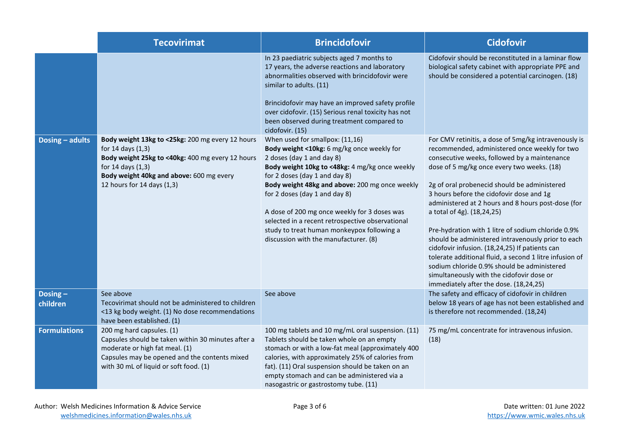|                     | <b>Tecovirimat</b>                                                                                                                                                                                                       | <b>Brincidofovir</b>                                                                                                                                                                                                                                                                                                                                                                                                                                                        | <b>Cidofovir</b>                                                                                                                                                                                                                                                                                                                                                                                                                                                                                                                                                                                                                                                                                                                                   |
|---------------------|--------------------------------------------------------------------------------------------------------------------------------------------------------------------------------------------------------------------------|-----------------------------------------------------------------------------------------------------------------------------------------------------------------------------------------------------------------------------------------------------------------------------------------------------------------------------------------------------------------------------------------------------------------------------------------------------------------------------|----------------------------------------------------------------------------------------------------------------------------------------------------------------------------------------------------------------------------------------------------------------------------------------------------------------------------------------------------------------------------------------------------------------------------------------------------------------------------------------------------------------------------------------------------------------------------------------------------------------------------------------------------------------------------------------------------------------------------------------------------|
|                     |                                                                                                                                                                                                                          | In 23 paediatric subjects aged 7 months to<br>17 years, the adverse reactions and laboratory<br>abnormalities observed with brincidofovir were<br>similar to adults. (11)<br>Brincidofovir may have an improved safety profile<br>over cidofovir. (15) Serious renal toxicity has not<br>been observed during treatment compared to<br>cidofovir. (15)                                                                                                                      | Cidofovir should be reconstituted in a laminar flow<br>biological safety cabinet with appropriate PPE and<br>should be considered a potential carcinogen. (18)                                                                                                                                                                                                                                                                                                                                                                                                                                                                                                                                                                                     |
| Dosing - adults     | Body weight 13kg to <25kg: 200 mg every 12 hours<br>for 14 days (1,3)<br>Body weight 25kg to <40kg: 400 mg every 12 hours<br>for 14 days (1,3)<br>Body weight 40kg and above: 600 mg every<br>12 hours for 14 days (1,3) | When used for smallpox: (11,16)<br>Body weight <10kg: 6 mg/kg once weekly for<br>2 doses (day 1 and day 8)<br>Body weight 10kg to <48kg: 4 mg/kg once weekly<br>for 2 doses (day 1 and day 8)<br>Body weight 48kg and above: 200 mg once weekly<br>for 2 doses (day 1 and day 8)<br>A dose of 200 mg once weekly for 3 doses was<br>selected in a recent retrospective observational<br>study to treat human monkeypox following a<br>discussion with the manufacturer. (8) | For CMV retinitis, a dose of 5mg/kg intravenously is<br>recommended, administered once weekly for two<br>consecutive weeks, followed by a maintenance<br>dose of 5 mg/kg once every two weeks. (18)<br>2g of oral probenecid should be administered<br>3 hours before the cidofovir dose and 1g<br>administered at 2 hours and 8 hours post-dose (for<br>a total of 4g). (18,24,25)<br>Pre-hydration with 1 litre of sodium chloride 0.9%<br>should be administered intravenously prior to each<br>cidofovir infusion. (18,24,25) If patients can<br>tolerate additional fluid, a second 1 litre infusion of<br>sodium chloride 0.9% should be administered<br>simultaneously with the cidofovir dose or<br>immediately after the dose. (18,24,25) |
| Dosing-<br>children | See above<br>Tecovirimat should not be administered to children<br><13 kg body weight. (1) No dose recommendations<br>have been established. (1)                                                                         | See above                                                                                                                                                                                                                                                                                                                                                                                                                                                                   | The safety and efficacy of cidofovir in children<br>below 18 years of age has not been established and<br>is therefore not recommended. (18,24)                                                                                                                                                                                                                                                                                                                                                                                                                                                                                                                                                                                                    |
| <b>Formulations</b> | 200 mg hard capsules. (1)<br>Capsules should be taken within 30 minutes after a<br>moderate or high fat meal. (1)<br>Capsules may be opened and the contents mixed<br>with 30 mL of liquid or soft food. (1)             | 100 mg tablets and 10 mg/mL oral suspension. (11)<br>Tablets should be taken whole on an empty<br>stomach or with a low-fat meal (approximately 400<br>calories, with approximately 25% of calories from<br>fat). (11) Oral suspension should be taken on an<br>empty stomach and can be administered via a<br>nasogastric or gastrostomy tube. (11)                                                                                                                        | 75 mg/mL concentrate for intravenous infusion.<br>(18)                                                                                                                                                                                                                                                                                                                                                                                                                                                                                                                                                                                                                                                                                             |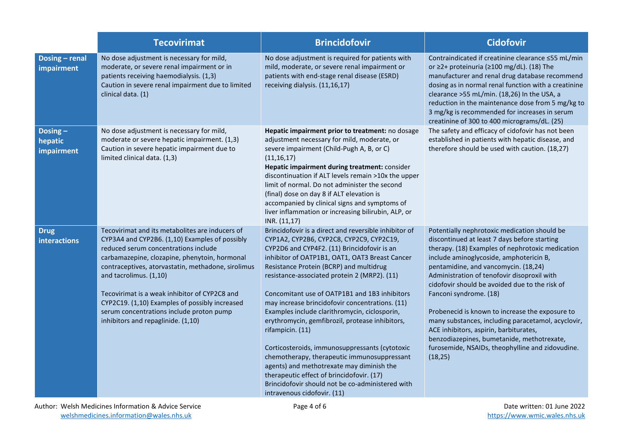|                                     | <b>Tecovirimat</b>                                                                                                                                                                                                                                                                                                                                                                                                                                              | <b>Brincidofovir</b>                                                                                                                                                                                                                                                                                                                                                                                                                                                                                                                                                                                                                                                                                                                                                                                    | <b>Cidofovir</b>                                                                                                                                                                                                                                                                                                                                                                                                                                                                                                                                                                                                                |
|-------------------------------------|-----------------------------------------------------------------------------------------------------------------------------------------------------------------------------------------------------------------------------------------------------------------------------------------------------------------------------------------------------------------------------------------------------------------------------------------------------------------|---------------------------------------------------------------------------------------------------------------------------------------------------------------------------------------------------------------------------------------------------------------------------------------------------------------------------------------------------------------------------------------------------------------------------------------------------------------------------------------------------------------------------------------------------------------------------------------------------------------------------------------------------------------------------------------------------------------------------------------------------------------------------------------------------------|---------------------------------------------------------------------------------------------------------------------------------------------------------------------------------------------------------------------------------------------------------------------------------------------------------------------------------------------------------------------------------------------------------------------------------------------------------------------------------------------------------------------------------------------------------------------------------------------------------------------------------|
| Dosing - renal<br>impairment        | No dose adjustment is necessary for mild,<br>moderate, or severe renal impairment or in<br>patients receiving haemodialysis. (1,3)<br>Caution in severe renal impairment due to limited<br>clinical data. (1)                                                                                                                                                                                                                                                   | No dose adjustment is required for patients with<br>mild, moderate, or severe renal impairment or<br>patients with end-stage renal disease (ESRD)<br>receiving dialysis. (11,16,17)                                                                                                                                                                                                                                                                                                                                                                                                                                                                                                                                                                                                                     | Contraindicated if creatinine clearance ≤55 mL/min<br>or ≥2+ proteinuria (≥100 mg/dL). (18) The<br>manufacturer and renal drug database recommend<br>dosing as in normal renal function with a creatinine<br>clearance >55 mL/min. (18,26) In the USA, a<br>reduction in the maintenance dose from 5 mg/kg to<br>3 mg/kg is recommended for increases in serum<br>creatinine of 300 to 400 micrograms/dL. (25)                                                                                                                                                                                                                  |
| Dosing $-$<br>hepatic<br>impairment | No dose adjustment is necessary for mild,<br>moderate or severe hepatic impairment. (1,3)<br>Caution in severe hepatic impairment due to<br>limited clinical data. (1,3)                                                                                                                                                                                                                                                                                        | Hepatic impairment prior to treatment: no dosage<br>adjustment necessary for mild, moderate, or<br>severe impairment (Child-Pugh A, B, or C)<br>(11, 16, 17)<br>Hepatic impairment during treatment: consider<br>discontinuation if ALT levels remain >10x the upper<br>limit of normal. Do not administer the second<br>(final) dose on day 8 if ALT elevation is<br>accompanied by clinical signs and symptoms of<br>liver inflammation or increasing bilirubin, ALP, or<br>INR. (11,17)                                                                                                                                                                                                                                                                                                              | The safety and efficacy of cidofovir has not been<br>established in patients with hepatic disease, and<br>therefore should be used with caution. (18,27)                                                                                                                                                                                                                                                                                                                                                                                                                                                                        |
| <b>Drug</b><br>interactions         | Tecovirimat and its metabolites are inducers of<br>CYP3A4 and CYP2B6. (1,10) Examples of possibly<br>reduced serum concentrations include<br>carbamazepine, clozapine, phenytoin, hormonal<br>contraceptives, atorvastatin, methadone, sirolimus<br>and tacrolimus. (1,10)<br>Tecovirimat is a weak inhibitor of CYP2C8 and<br>CYP2C19. (1,10) Examples of possibly increased<br>serum concentrations include proton pump<br>inhibitors and repaglinide. (1,10) | Brincidofovir is a direct and reversible inhibitor of<br>CYP1A2, CYP2B6, CYP2C8, CYP2C9, CYP2C19,<br>CYP2D6 and CYP4F2. (11) Brincidofovir is an<br>inhibitor of OATP1B1, OAT1, OAT3 Breast Cancer<br>Resistance Protein (BCRP) and multidrug<br>resistance-associated protein 2 (MRP2). (11)<br>Concomitant use of OATP1B1 and 1B3 inhibitors<br>may increase brincidofovir concentrations. (11)<br>Examples include clarithromycin, ciclosporin,<br>erythromycin, gemfibrozil, protease inhibitors,<br>rifampicin. (11)<br>Corticosteroids, immunosuppressants (cytotoxic<br>chemotherapy, therapeutic immunosuppressant<br>agents) and methotrexate may diminish the<br>therapeutic effect of brincidofovir. (17)<br>Brincidofovir should not be co-administered with<br>intravenous cidofovir. (11) | Potentially nephrotoxic medication should be<br>discontinued at least 7 days before starting<br>therapy. (18) Examples of nephrotoxic medication<br>include aminoglycoside, amphotericin B,<br>pentamidine, and vancomycin. (18,24)<br>Administration of tenofovir disoproxil with<br>cidofovir should be avoided due to the risk of<br>Fanconi syndrome. (18)<br>Probenecid is known to increase the exposure to<br>many substances, including paracetamol, acyclovir,<br>ACE inhibitors, aspirin, barbiturates,<br>benzodiazepines, bumetanide, methotrexate,<br>furosemide, NSAIDs, theophylline and zidovudine.<br>(18, 25) |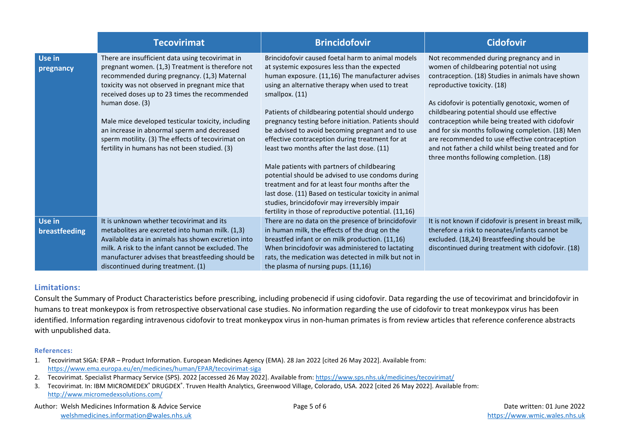|                         | <b>Tecovirimat</b>                                                                                                                                                                                                                                                                                                                                                                                                                                                                     | <b>Brincidofovir</b>                                                                                                                                                                                                                                                                                                                                                                                                                                                                                                                                                                                                                                                                                                                                                                                                      | <b>Cidofovir</b>                                                                                                                                                                                                                                                                                                                                                                                                                                                                                                                        |
|-------------------------|----------------------------------------------------------------------------------------------------------------------------------------------------------------------------------------------------------------------------------------------------------------------------------------------------------------------------------------------------------------------------------------------------------------------------------------------------------------------------------------|---------------------------------------------------------------------------------------------------------------------------------------------------------------------------------------------------------------------------------------------------------------------------------------------------------------------------------------------------------------------------------------------------------------------------------------------------------------------------------------------------------------------------------------------------------------------------------------------------------------------------------------------------------------------------------------------------------------------------------------------------------------------------------------------------------------------------|-----------------------------------------------------------------------------------------------------------------------------------------------------------------------------------------------------------------------------------------------------------------------------------------------------------------------------------------------------------------------------------------------------------------------------------------------------------------------------------------------------------------------------------------|
| Use in<br>pregnancy     | There are insufficient data using tecovirimat in<br>pregnant women. (1,3) Treatment is therefore not<br>recommended during pregnancy. (1,3) Maternal<br>toxicity was not observed in pregnant mice that<br>received doses up to 23 times the recommended<br>human dose. (3)<br>Male mice developed testicular toxicity, including<br>an increase in abnormal sperm and decreased<br>sperm motility. (3) The effects of tecovirimat on<br>fertility in humans has not been studied. (3) | Brincidofovir caused foetal harm to animal models<br>at systemic exposures less than the expected<br>human exposure. (11,16) The manufacturer advises<br>using an alternative therapy when used to treat<br>smallpox. (11)<br>Patients of childbearing potential should undergo<br>pregnancy testing before initiation. Patients should<br>be advised to avoid becoming pregnant and to use<br>effective contraception during treatment for at<br>least two months after the last dose. (11)<br>Male patients with partners of childbearing<br>potential should be advised to use condoms during<br>treatment and for at least four months after the<br>last dose. (11) Based on testicular toxicity in animal<br>studies, brincidofovir may irreversibly impair<br>fertility in those of reproductive potential. (11,16) | Not recommended during pregnancy and in<br>women of childbearing potential not using<br>contraception. (18) Studies in animals have shown<br>reproductive toxicity. (18)<br>As cidofovir is potentially genotoxic, women of<br>childbearing potential should use effective<br>contraception while being treated with cidofovir<br>and for six months following completion. (18) Men<br>are recommended to use effective contraception<br>and not father a child whilst being treated and for<br>three months following completion. (18) |
| Use in<br>breastfeeding | It is unknown whether tecovirimat and its<br>metabolites are excreted into human milk. (1,3)<br>Available data in animals has shown excretion into<br>milk. A risk to the infant cannot be excluded. The<br>manufacturer advises that breastfeeding should be<br>discontinued during treatment. (1)                                                                                                                                                                                    | There are no data on the presence of brincidofovir<br>in human milk, the effects of the drug on the<br>breastfed infant or on milk production. (11,16)<br>When brincidofovir was administered to lactating<br>rats, the medication was detected in milk but not in<br>the plasma of nursing pups. (11,16)                                                                                                                                                                                                                                                                                                                                                                                                                                                                                                                 | It is not known if cidofovir is present in breast milk,<br>therefore a risk to neonates/infants cannot be<br>excluded. (18,24) Breastfeeding should be<br>discontinued during treatment with cidofovir. (18)                                                                                                                                                                                                                                                                                                                            |

### **Limitations:**

Consult the Summary of Product Characteristics before prescribing, including probenecid if using cidofovir. Data regarding the use of tecovirimat and brincidofovir in humans to treat monkeypox is from retrospective observational case studies. No information regarding the use of cidofovir to treat monkeypox virus has been identified. Information regarding intravenous cidofovir to treat monkeypox virus in non-human primates is from review articles that reference conference abstracts with unpublished data.

#### **References:**

- 1. Tecovirimat SIGA: EPAR Product Information. European Medicines Agency (EMA). 28 Jan 2022 [cited 26 May 2022]. Available from: <https://www.ema.europa.eu/en/medicines/human/EPAR/tecovirimat-siga>
- 2. Tecovirimat. Specialist Pharmacy Service (SPS). 2022 [accessed 26 May 2022]. Available from[: https://www.sps.nhs.uk/medicines/tecovirimat/](https://www.sps.nhs.uk/medicines/tecovirimat/)
- 3. Tecovirimat. In: IBM MICROMEDEX® DRUGDEX®. Truven Health Analytics, Greenwood Village, Colorado, USA, 2022 [cited 26 May 2022]. Available from: <http://www.micromedexsolutions.com/>